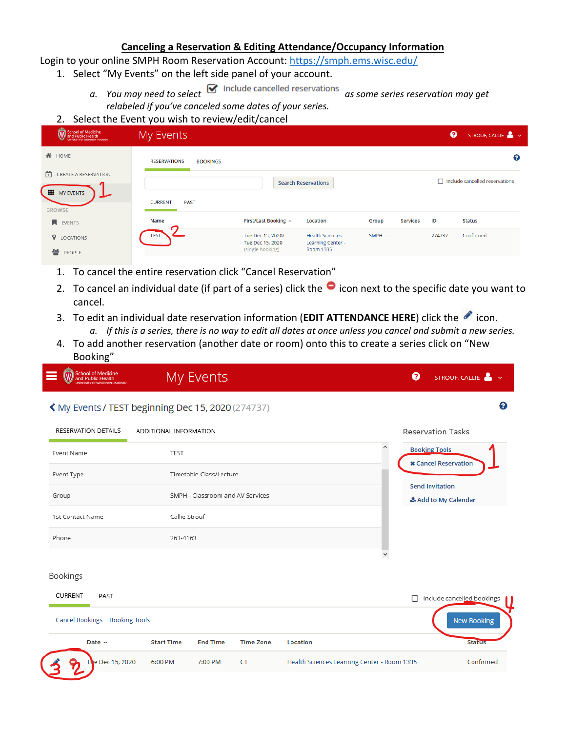#### **Canceling a Reservation & Editing Attendance/Occupancy Information**

Login to your online SMPH Room Reservation Account:<https://smph.ems.wisc.edu/>

- 1. Select "My Events" on the left side panel of your account.
	- *a. You may need to select*  $\bullet$  Include cancelled reservations *as some series reservation may get relabeled if you've canceled some dates of your series.*
- 2. Select the Event you wish to review/edit/cancel

| School of Medicine<br>and Public Health                            | My Events                              |                                                           |                                                          |           |                 | ๏      | STROUF, CALLIE                |
|--------------------------------------------------------------------|----------------------------------------|-----------------------------------------------------------|----------------------------------------------------------|-----------|-----------------|--------|-------------------------------|
| <b>合</b> HOME                                                      | <b>RESERVATIONS</b><br><b>BOOKINGS</b> |                                                           |                                                          |           |                 |        | ℯ                             |
| Ĥ<br>CREATE A RESERVATION<br><b>III</b> MY EVENTS<br><b>BROWSE</b> | <b>CURRENT</b><br><b>PAST</b>          |                                                           | <b>Search Reservations</b>                               |           |                 |        | nclude cancelled reservations |
| <b>N</b> EVENTS                                                    | Name                                   | First/Last Booking ^                                      | Location                                                 | Group     | <b>Services</b> | ID     | <b>Status</b>                 |
| <b>Q</b> LOCATIONS<br>送<br>PEOPLE                                  | <b>TEST</b>                            | Tue Dec 15, 2020/<br>Tue Dec 15, 2020<br>(single booking) | <b>Health Sciences</b><br>Learning Center -<br>Room 1335 | $SMPH - $ |                 | 274737 | Confirmed                     |
|                                                                    |                                        |                                                           |                                                          |           |                 |        |                               |

- 1. To cancel the entire reservation click "Cancel Reservation"
- 2. To cancel an individual date (if part of a series) click the  $\bullet$  icon next to the specific date you want to cancel.
- 3. To edit an individual date reservation information (**EDIT ATTENDANCE HERE**) click the **i**con. *a. If this is a series, there is no way to edit all dates at once unless you cancel and submit a new series.*
- 4. To add another reservation (another date or room) onto this to create a series click on "New Booking"

| <b>School of Medicine</b><br>and Public Health     |                        | My Events                        |                  |                                             | ๏ | STROUF, CALLIE                                |
|----------------------------------------------------|------------------------|----------------------------------|------------------|---------------------------------------------|---|-----------------------------------------------|
| K My Events / TEST beginning Dec 15, 2020 (274737) |                        |                                  |                  |                                             |   | ଵ                                             |
| RESERVATION DETAILS                                | ADDITIONAL INFORMATION |                                  |                  |                                             |   | <b>Reservation Tasks</b>                      |
| Event Name                                         | <b>TEST</b>            |                                  |                  |                                             |   | <b>Booking Tools</b>                          |
| Event Type                                         |                        | Timetable Class/Lecture          |                  |                                             |   | <b>* Cancel Reservation</b>                   |
| Group                                              |                        | SMPH - Classroom and AV Services |                  |                                             |   | <b>Send Invitation</b><br>LAdd to My Calendar |
| 1st Contact Name                                   | Callie Strouf          |                                  |                  |                                             |   |                                               |
| Phone                                              | 263-4163               |                                  |                  |                                             |   |                                               |
|                                                    |                        |                                  |                  |                                             |   |                                               |
| Bookings                                           |                        |                                  |                  |                                             |   |                                               |
| <b>CURRENT</b><br>PAST                             |                        |                                  |                  |                                             | П | Include cancelled bookings                    |
| Cancel Bookings Booking Tools                      |                        |                                  |                  |                                             |   | <b>New Booking</b>                            |
| Date $\sim$                                        | <b>Start Time</b>      | <b>End Time</b>                  | <b>Time Zone</b> | Location                                    |   | <b>Status</b>                                 |
| e Dec 15, 2020                                     | 6:00 PM                | 7:00 PM                          | <b>CT</b>        | Health Sciences Learning Center - Room 1335 |   | Confirmed                                     |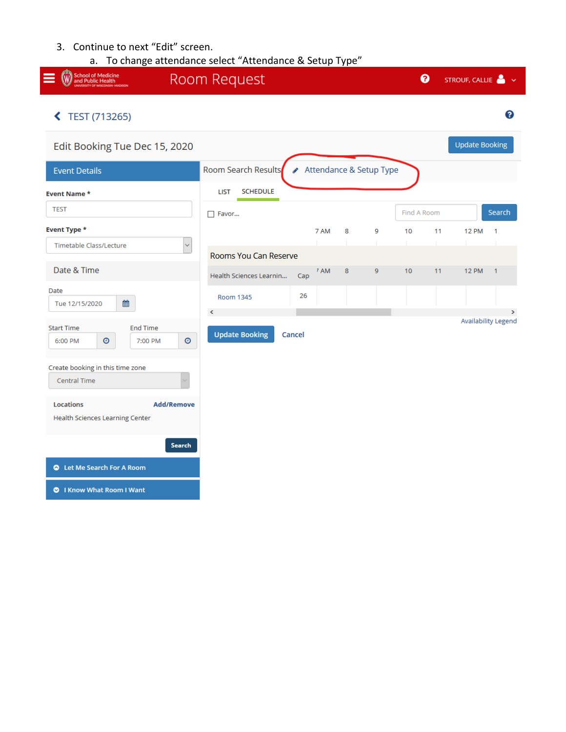#### 3. Continue to next "Edit" screen.

a. To change attendance select "Attendance & Setup Type"

| <b>School of Medicine</b><br>and Public Health                                   | Room Request                           |                                 | ๏                        | STROUF, CALLIE                      |
|----------------------------------------------------------------------------------|----------------------------------------|---------------------------------|--------------------------|-------------------------------------|
| TEST (713265)                                                                    |                                        |                                 |                          | ❸                                   |
| Edit Booking Tue Dec 15, 2020                                                    |                                        |                                 |                          | <b>Update Booking</b>               |
| <b>Event Details</b>                                                             | Room Search Results                    | ▲ Attendance & Setup Type       |                          |                                     |
| Event Name *                                                                     | <b>SCHEDULE</b><br><b>LIST</b>         |                                 |                          |                                     |
| <b>TEST</b>                                                                      | $\Box$ Favor                           |                                 | Find A Room              | Search                              |
| Event Type *                                                                     | 7 AM                                   | 8<br>9<br>$\pm$<br>$\mathbf{I}$ | 10<br>11<br>$\mathbb{R}$ | <b>12 PM</b><br>1<br>$\mathbb{R}^n$ |
| Timetable Class/Lecture<br>$\checkmark$                                          | Rooms You Can Reserve                  |                                 |                          |                                     |
| Date & Time                                                                      | 7 AM<br>Health Sciences Learnin<br>Cap | 8<br>9                          | 10<br>11                 | <b>12 PM</b><br>$\blacksquare$      |
| Date<br>雦<br>Tue 12/15/2020                                                      | 26<br><b>Room 1345</b>                 |                                 |                          | $\rightarrow$                       |
| <b>End Time</b><br><b>Start Time</b><br>$\odot$<br>$\odot$<br>6:00 PM<br>7:00 PM | ≺<br><b>Update Booking</b><br>Cancel   |                                 |                          | <b>Availability Legend</b>          |
| Create booking in this time zone<br><b>Central Time</b>                          |                                        |                                 |                          |                                     |
| Locations<br><b>Add/Remove</b><br><b>Health Sciences Learning Center</b>         |                                        |                                 |                          |                                     |
| Search                                                                           |                                        |                                 |                          |                                     |
| Let Me Search For A Room                                                         |                                        |                                 |                          |                                     |
| <b>C</b> I Know What Room I Want                                                 |                                        |                                 |                          |                                     |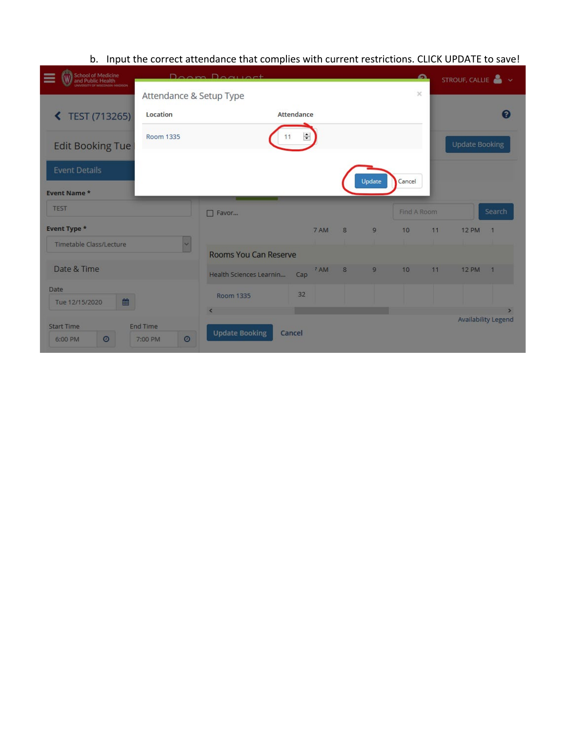## b. Input the correct attendance that complies with current restrictions. CLICK UPDATE to save!

| School of Medicine<br>and Public Health<br>≡               |                         | Doom Doguart            |            |      |   |                | $\Omega$    |    | STROUF, CALLIE        |                                             |
|------------------------------------------------------------|-------------------------|-------------------------|------------|------|---|----------------|-------------|----|-----------------------|---------------------------------------------|
|                                                            | Attendance & Setup Type |                         |            |      |   |                | $\times$    |    |                       |                                             |
| TEST (713265)                                              | Location                |                         | Attendance |      |   |                |             |    |                       | Ω                                           |
| <b>Edit Booking Tue</b>                                    | Room 1335               |                         | ÷          |      |   |                |             |    | <b>Update Booking</b> |                                             |
| <b>Event Details</b>                                       |                         |                         |            |      |   | Update         | Cancel      |    |                       |                                             |
| Event Name *                                               |                         |                         |            |      |   |                |             |    |                       |                                             |
| <b>TEST</b>                                                |                         | $\Box$ Favor            |            |      |   |                | Find A Room |    |                       | Search                                      |
| Event Type *                                               |                         |                         |            | 7 AM | 8 | $\overline{9}$ | 10          | 11 | <b>12 PM</b>          | $\overline{1}$                              |
| Timetable Class/Lecture                                    | v.                      | Rooms You Can Reserve   |            |      |   |                |             |    |                       |                                             |
| Date & Time                                                |                         | Health Sciences Learnin | Cap        | 7 AM | 8 | $\overline{9}$ | 10          | 11 | 12 PM 1               |                                             |
| Date<br>曲<br>Tue 12/15/2020                                |                         | Room 1335               | 32         |      |   |                |             |    |                       |                                             |
|                                                            |                         | $\triangleleft$         |            |      |   |                |             |    |                       | $\rightarrow$<br><b>Availability Legend</b> |
| <b>End Time</b><br><b>Start Time</b><br>$\odot$<br>6:00 PM | $\odot$<br>7:00 PM      | <b>Update Booking</b>   | Cancel     |      |   |                |             |    |                       |                                             |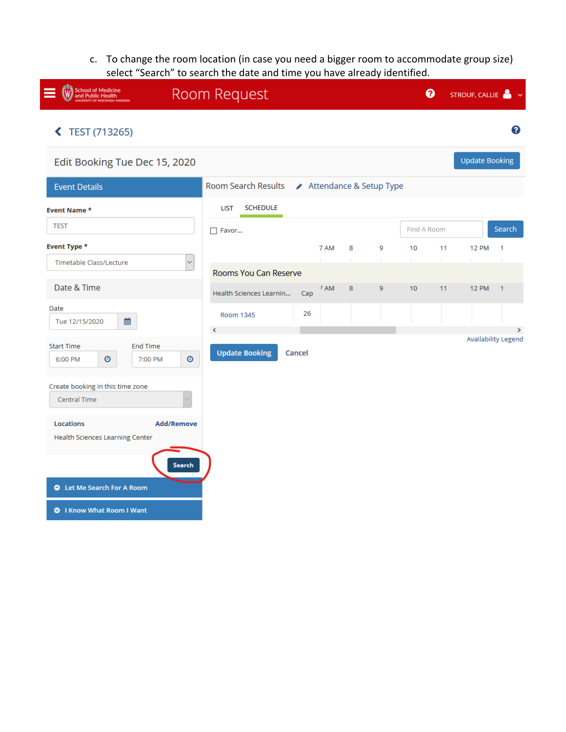c. To change the room location (in case you need a bigger room to accommodate group size) select "Search" to search the date and time you have already identified.

| <b>School of Medicine</b><br>and Public Health | Room Request                                           | ๏<br>STROUF, CALLIE                  |
|------------------------------------------------|--------------------------------------------------------|--------------------------------------|
| TEST (713265)                                  |                                                        | ❸                                    |
| Edit Booking Tue Dec 15, 2020                  |                                                        | <b>Update Booking</b>                |
| <b>Event Details</b>                           | Room Search Results<br>◆ Attendance & Setup Type       |                                      |
| Event Name *                                   | <b>LIST</b><br><b>SCHEDULE</b>                         |                                      |
| <b>TEST</b>                                    | $\Box$ Favor                                           | Search<br>Find A Room                |
| Event Type *                                   | 9<br>7 AM<br>8<br>10                                   | 11<br><b>12 PM</b><br>-1             |
| Timetable Class/Lecture                        | т<br>$\checkmark$<br>Rooms You Can Reserve             |                                      |
| Date & Time                                    | 9<br>7 AM<br>8<br>10<br>Health Sciences Learnin<br>Cap | <b>12 PM</b><br>11<br>$\overline{1}$ |
| Date                                           | 26<br><b>Room 1345</b>                                 |                                      |
| 雦<br>Tue 12/15/2020                            | ≺                                                      | $\rightarrow$                        |
| <b>Start Time</b><br><b>End Time</b>           | <b>Update Booking</b><br>Cancel                        | <b>Availability Legend</b>           |
| $\odot$<br>6:00 PM<br>7:00 PM                  | $\odot$                                                |                                      |
| Create booking in this time zone               |                                                        |                                      |
| <b>Central Time</b>                            |                                                        |                                      |
| <b>Locations</b>                               | <b>Add/Remove</b>                                      |                                      |
| <b>Health Sciences Learning Center</b>         |                                                        |                                      |
|                                                | Search                                                 |                                      |
| Let Me Search For A Room                       |                                                        |                                      |
| I Know What Room I Want                        |                                                        |                                      |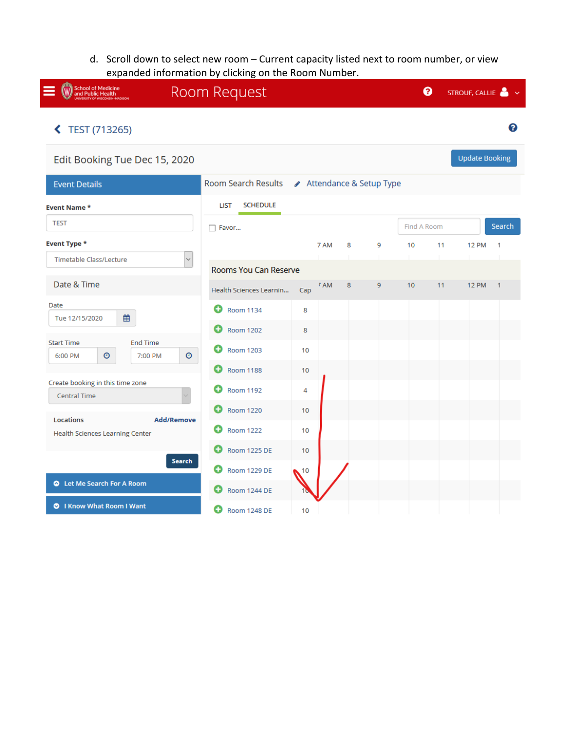d. Scroll down to select new room – Current capacity listed next to room number, or view expanded information by clicking on the Room Number.

| <b>School of Medicine</b><br>and Public Health                        | <b>Room Request</b>                   |     |      |   |                         |             | ๏  | STROUF, CALLIE        |                |
|-----------------------------------------------------------------------|---------------------------------------|-----|------|---|-------------------------|-------------|----|-----------------------|----------------|
| TEST (713265)                                                         |                                       |     |      |   |                         |             |    |                       | ℯ              |
| Edit Booking Tue Dec 15, 2020                                         |                                       |     |      |   |                         |             |    | <b>Update Booking</b> |                |
| <b>Event Details</b>                                                  | Room Search Results                   |     |      |   | Attendance & Setup Type |             |    |                       |                |
| Event Name *                                                          | <b>SCHEDULE</b><br><b>LIST</b>        |     |      |   |                         |             |    |                       |                |
| <b>TEST</b>                                                           | $\Box$ Favor                          |     |      |   |                         | Find A Room |    |                       | Search         |
| Event Type *                                                          |                                       |     | 7 AM | 8 | 9                       | 10          | 11 | <b>12 PM</b>          |                |
| <b>Timetable Class/Lecture</b>                                        | $\checkmark$<br>Rooms You Can Reserve |     |      |   |                         |             |    |                       |                |
| Date & Time                                                           | Health Sciences Learnin               | Cap | 7 AM | 8 | 9                       | 10          | 11 | <b>12 PM</b>          | $\overline{1}$ |
| Date<br>▦<br>Tue 12/15/2020                                           | O<br><b>Room 1134</b>                 | 8   |      |   |                         |             |    |                       |                |
|                                                                       | Room 1202                             | 8   |      |   |                         |             |    |                       |                |
| <b>Start Time</b><br><b>End Time</b><br>$\circ$<br>6:00 PM<br>7:00 PM | O<br><b>Room 1203</b><br>$\odot$      | 10  |      |   |                         |             |    |                       |                |
|                                                                       | O<br><b>Room 1188</b>                 | 10  |      |   |                         |             |    |                       |                |
| Create booking in this time zone<br>Central Time                      | <b>Room 1192</b>                      | 4   |      |   |                         |             |    |                       |                |
| <b>Locations</b><br><b>Add/Remove</b>                                 | <b>Room 1220</b>                      | 10  |      |   |                         |             |    |                       |                |
| <b>Health Sciences Learning Center</b>                                | O<br><b>Room 1222</b>                 | 10  |      |   |                         |             |    |                       |                |
| <b>Search</b>                                                         | O<br>Room 1225 DE                     | 10  |      |   |                         |             |    |                       |                |
|                                                                       | O<br><b>Room 1229 DE</b>              | 10  |      |   |                         |             |    |                       |                |
| Let Me Search For A Room                                              | <b>Room 1244 DE</b>                   |     |      |   |                         |             |    |                       |                |
| <b>O</b> I Know What Room I Want                                      | O<br><b>Room 1248 DE</b>              | 10  |      |   |                         |             |    |                       |                |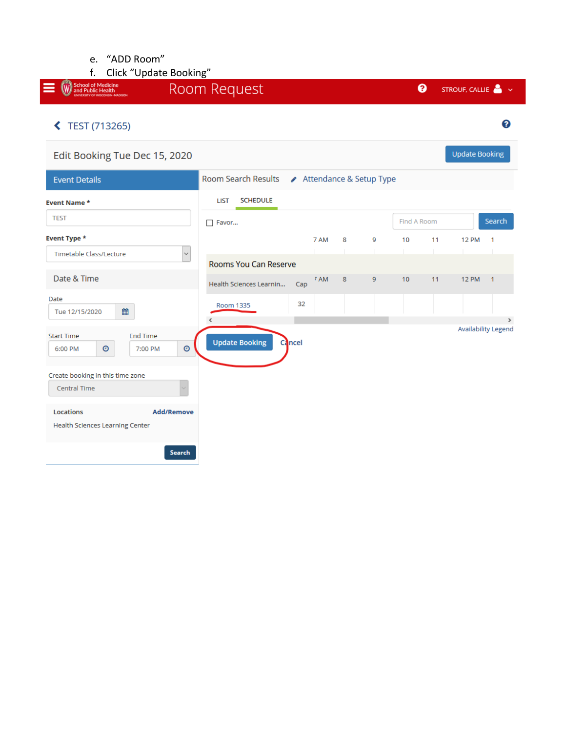### e. "ADD Room"

f. Click "Update Booking"

| <b>School of Medicine</b><br>and Public Health                                     | Room Request                                  |             |   |   |             | ๏        | STROUF, CALLIE        |                            |
|------------------------------------------------------------------------------------|-----------------------------------------------|-------------|---|---|-------------|----------|-----------------------|----------------------------|
| TEST (713265)<br>≺                                                                 |                                               |             |   |   |             |          |                       | ଵ                          |
| Edit Booking Tue Dec 15, 2020                                                      |                                               |             |   |   |             |          | <b>Update Booking</b> |                            |
| <b>Event Details</b>                                                               | Room Search Results / Attendance & Setup Type |             |   |   |             |          |                       |                            |
| <b>Event Name *</b>                                                                | <b>SCHEDULE</b><br><b>LIST</b>                |             |   |   |             |          |                       |                            |
| <b>TEST</b>                                                                        | $\Box$ Favor                                  |             |   |   | Find A Room |          |                       | Search                     |
| Event Type *<br>Timetable Class/Lecture<br>$\checkmark$                            |                                               | 7 AM        | 8 | 9 | 10          | 11<br>т. | <b>12 PM</b>          | 1                          |
|                                                                                    | Rooms You Can Reserve                         |             |   |   |             |          |                       |                            |
| Date & Time                                                                        | Health Sciences Learnin                       | 7 AM<br>Cap | 8 | 9 | 10          | 11       | <b>12 PM</b>          | $\mathbf{1}$               |
| Date<br>雦<br>Tue 12/15/2020                                                        | Room 1335<br>∢                                | 32          |   |   |             |          |                       | $\rightarrow$              |
| <b>End Time</b><br><b>Start Time</b><br>$\odot$<br>$\odot$<br>6:00 PM<br>7:00 PM   | <b>Update Booking</b><br>Cancel               |             |   |   |             |          |                       | <b>Availability Legend</b> |
| Create booking in this time zone<br><b>Central Time</b>                            |                                               |             |   |   |             |          |                       |                            |
| Locations<br><b>Add/Remove</b><br>Health Sciences Learning Center<br><b>Search</b> |                                               |             |   |   |             |          |                       |                            |